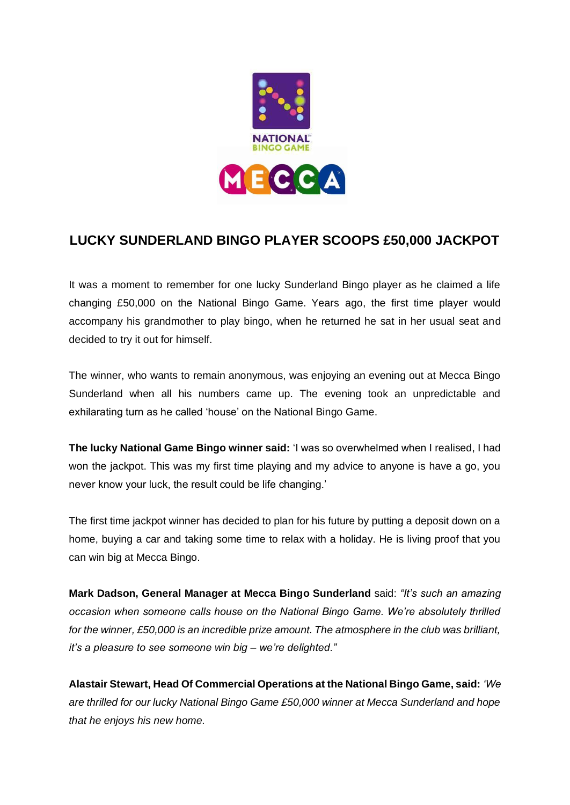

# **LUCKY SUNDERLAND BINGO PLAYER SCOOPS £50,000 JACKPOT**

It was a moment to remember for one lucky Sunderland Bingo player as he claimed a life changing £50,000 on the National Bingo Game. Years ago, the first time player would accompany his grandmother to play bingo, when he returned he sat in her usual seat and decided to try it out for himself.

The winner, who wants to remain anonymous, was enjoying an evening out at Mecca Bingo Sunderland when all his numbers came up. The evening took an unpredictable and exhilarating turn as he called 'house' on the National Bingo Game.

**The lucky National Game Bingo winner said:** 'I was so overwhelmed when I realised, I had won the jackpot. This was my first time playing and my advice to anyone is have a go, you never know your luck, the result could be life changing.'

The first time jackpot winner has decided to plan for his future by putting a deposit down on a home, buying a car and taking some time to relax with a holiday. He is living proof that you can win big at Mecca Bingo.

**Mark Dadson, General Manager at Mecca Bingo Sunderland** said: *"It's such an amazing occasion when someone calls house on the National Bingo Game. We're absolutely thrilled for the winner, £50,000 is an incredible prize amount. The atmosphere in the club was brilliant, it's a pleasure to see someone win big – we're delighted."*

**Alastair Stewart, Head Of Commercial Operations at the National Bingo Game, said:** *'We are thrilled for our lucky National Bingo Game £50,000 winner at Mecca Sunderland and hope that he enjoys his new home.*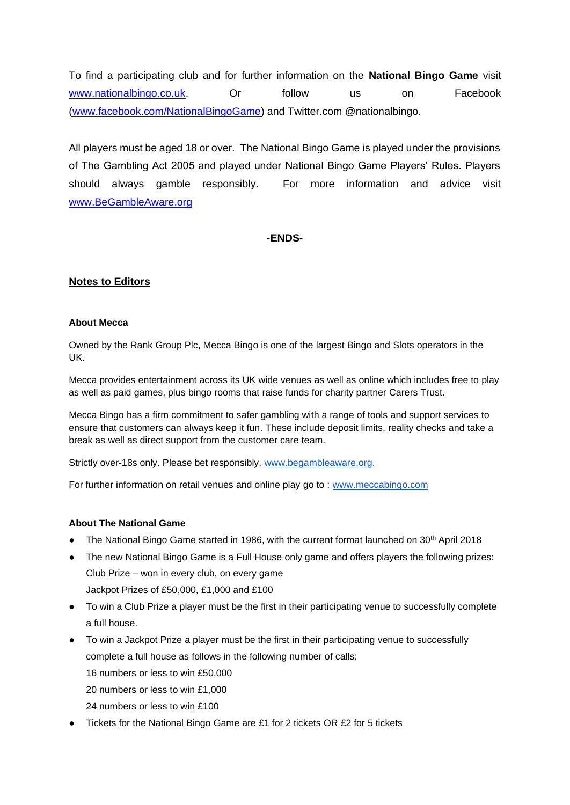To find a participating club and for further information on the **National Bingo Game** visit [www.nationalbingo.co.uk.](http://www.nationalbingo.co.uk/) Or follow us on Facebook [\(www.facebook.com/NationalBingoGame\)](http://www.facebook.com/NationalBingoGame) and Twitter.com @nationalbingo.

All players must be aged 18 or over. The National Bingo Game is played under the provisions of The Gambling Act 2005 and played under National Bingo Game Players' Rules. Players should always gamble responsibly. For more information and advice visit [www.BeGambleAware.org](http://www.begambleaware.org/)

## **-ENDS-**

## **Notes to Editors**

#### **About Mecca**

Owned by the Rank Group Plc, Mecca Bingo is one of the largest Bingo and Slots operators in the UK.

Mecca provides entertainment across its UK wide venues as well as online which includes free to play as well as paid games, plus bingo rooms that raise funds for charity partner Carers Trust.

Mecca Bingo has a firm commitment to safer gambling with a range of tools and support services to ensure that customers can always keep it fun. These include deposit limits, reality checks and take a break as well as direct support from the customer care team.

Strictly over-18s only. Please bet responsibly. [www.begambleaware.org.](http://www.begambleaware.org/)

For further information on retail venues and online play go to : [www.meccabingo.com](http://www.meccabingo.com/)

#### **About The National Game**

- The National Bingo Game started in 1986, with the current format launched on 30<sup>th</sup> April 2018
- The new National Bingo Game is a Full House only game and offers players the following prizes: Club Prize – won in every club, on every game Jackpot Prizes of £50,000, £1,000 and £100
- To win a Club Prize a player must be the first in their participating venue to successfully complete a full house.
- To win a Jackpot Prize a player must be the first in their participating venue to successfully complete a full house as follows in the following number of calls: 16 numbers or less to win £50,000 20 numbers or less to win £1,000
	- 24 numbers or less to win £100
- Tickets for the National Bingo Game are £1 for 2 tickets OR £2 for 5 tickets